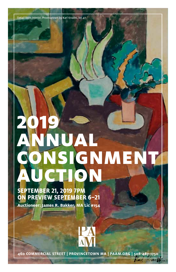Detail from Interior, Provincetown by Karl Knaths, lot 47

# 2019 UAL **CONSIGNMENT** AUCTION

# **SEPTEMBER 21, 2019 7PM ON PREVIEW SEPTEMBER 6–21**

**Auctioneer: James R. Bakker, MA Lic #154**

**460 COMMERCIAL STREET | PROVINCETOWN MA | PAAM.ORG | 508-487-1750**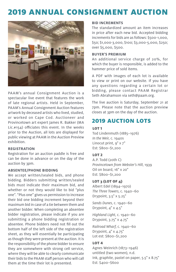

PAAM's annual Consignment Auction is a spectacular live event that features the work of late regional artists. Held in September, PAAM's Annual Consignment Auction features artwork by deceased artists who lived, studied, or worked on Cape Cod. Auctioneer and Provincetown art expert James R. Bakker (MA Lic.#154) officiates this event. In the weeks prior to the Auction, all lots are displayed for public viewing at PAAM in the Auction Preview exhibition.

#### **REGISTRATION**

Registration for an auction paddle is free and can be done in advance or on the day of the auction by 3pm.

#### **ABSENTEE/PHONE BIDDING**

We accept written/sealed bids, and phone bidding. Bidders submitting written/sealed bids must indicate their maximum bid, and whether or not they would like to bid "plus one". "Plus one" gives us permission to increase their bid one bidding increment beyond their maximum bid in case of a tie between them and another bidder. When completing an absentee bidder registration, please indicate if you are submitting a phone bidding registration or absentee. Phone bidders need not fill out the bottom half of the left side of the registration sheet, as they will essentially be participating as though they were present at the auction. It is the responsibility of the phone bidder to ensure they are somewhere with strong cell service, where they will be able to clearly communicate their bids to the PAAM staff person who will call them at the time their lot is presented.

#### **BID INCREMENTS**

The standardized amount an item increases in price after each new bid. Accepted bidding increments for bids are as follows: \$500-1,000, \$50; \$1,000-3,000, \$100; \$3,000-5,000, \$250; over \$5,000, \$500.

#### **BUYER'S PREMIUM**

An additional service charge of 20%, for which the buyer is responsible, is added to the hammer price of sold items.

A PDF with images of each lot is available to view or print on our website. If you have any questions regarding a certain lot or bidding, please contact PAAM Registrar Seth Abrahamson via seth@paam.org.

The live auction is Saturday, September 21 at 7pm. Please note that the auction preview closes at 3pm on the day of the auction.

## 2019 AUCTION LOTS

#### LOT 1

Tod Lindenmuth (1885–1976) In the Weir, c. 1940s Linocut print, 9" x 7" Est: \$800–\$1,200

#### LOT 2

A.P. Todd (20th C) Provincetown from Webster's Hill, 1939 Oil on board, 16" x 20" Est: \$800–\$1,200

#### LOT 3 (LOT OF 4)

Albert Edel (1894–1970) The Three Towers, c. 1940–60 Drypoint, 3.5" x 5.25"

Sands Dunes, c. 1940–60 Drypoint,  $4" \times 4.5"$ 

Highland Light, c. 1940–60 Drypoint, 3.75" x 4.75"

Railroad Wharf, c. 1940–60 Drypoint, 4" x 4.75" Lot est: \$800–\$1,200

#### LOT 4

Agnes Weinrich (1873–1946) untitled (two women), n.d. Ink, graphite, pastel on paper, 5.5" x 8.75" Est: \$400–\$600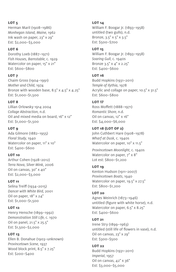#### LOT<sub>5</sub>

Herman Maril (1908–1986) Monhegan Island, Maine, 1962 Ink wash on paper, 23" x 29" Est: \$2,000–\$3,000

#### LOT 6

Dorothy Loeb (1887–1971) Fish Houses, Barnstable, c. 1929 Watercolor on paper, 15" x 21" Est: \$600–\$800

#### LOT 7

Chaim Gross (1904–1991) Mother and Child, 1974 Bronze with wooden base,  $8.5" \times 4.5" \times 4.25"$ Est: \$1,000–\$1,500

#### LOT 8

Lillian Orlowsky 1914 2004 Collage Abstraction, n.d. Oil and mixed media on board, 16" x 12" Est: \$1,000–\$1,500

#### LOT 9

Ada Gilmore (1882–1955) Floral Study, 1940 Watercolor on paper, 11" x 10" Est: \$400–\$600

#### **LOT 10**

Arthur Cohen (1928–2012) Terra Nova, Silver Mink, 2006 Oil on canvas, 30" x 40" Est: \$2,000–\$3,000

#### LOT 11

Selina Treiff (1934–2015) Dancer with White Bird, 2001 Oil on paper, 18" x 24" Est: \$1,000–\$1,500

#### LOT 12

Henry Hensche (1899–1992) Demonstration Still Life, c. 1970 Oil on panel, 21.5" x 25.5" Est: \$1,500–\$2,000

#### LOT 13

Ellen B. Donahue (1903–unknown) Provincetown Scene, 1937 Wood block print, 8.5" x 7.25" Est: \$200–\$400

#### LOT 14

William F. Boogar Jr. (1893–1958) untitled (two gulls), n.d. Bronze, 3.5" x 5" x 3.5" Est: \$500–\$700

#### LOT 15

William F. Boogar Jr. (1893–1958) Soaring Gull, c. 1940s Bronze 3.5" x 4" x 2.25" Est: \$400–\$600

#### LOT 16

Budd Hopkins (1931–2011) Temple of Ilythia, 1978 Acrylic and collage on paper, 10.5" x 31.5" Est: \$600–\$800

#### LOT 17

Ross Moffett (1888–1971) Romantic Shore, n.d. Oil on canvas, 12" x 16" Est: \$4,000–\$6,000

#### LOT 18 (LOT OF 2)

John Cuthbert Hare (1908–1978) Wharf at Dusk, c. 1940s Watercolor on paper, 10" x 11.5"

Provincetown Moonlight, c. 1940s Watercolor on paper,  $7" \times 8"$ Lot est: \$800–\$1,200

#### LOT 19

Kenton Hudson (1911–2007) Provincetown Boats, 1940 Watercolor on paper, 19.5" x 27.5" Est: \$800–\$1,200

### LOT 20

Agnes Weinrich (1873–1946) untitled (figure with white horse), n.d. Watercolor on paper, 6.5" x 8.25" Est: \$400–\$600

# LOT 21

Irene Stry (1899–1963) untitled (still life of flowers in vase), n.d. Oil on canvas, 23" x 29" Est: \$300–\$500

#### LOT 22 Budd Hopkins (1931–2011) Imperial, 1957 Oil on canvas, 42" x 36" Est: \$3,000–\$5,000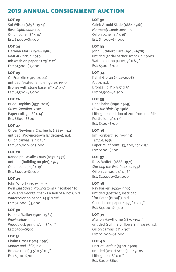#### **LOT 23**

Sol Wilson (1896–1974) River Lighthouse, n.d. Oil on panel, 8" x 10" Est: \$1,000–\$1,500

#### LOT 24

Herman Maril (1908–1986) Boat at Dock, c. 1959 Ink wash on paper, 11.25" x 17" Est: \$1,500–\$2,000

#### LOT 25

Gil Franklin (1919–2004) untitled (seated female figure), 1990 Bronze with stone base,  $11"$  x  $2"$  x  $5"$ Est: \$1,500–\$2,000

#### LOT 26

Budd Hopkins (1931–2011) Green Guardian, 2001 Paper collage, 8" x 14" Est: \$600–\$800

#### LOT 27

Oliver Newberry Chaffee Jr. (1881–1944) untitled (Provincetown landscape), n.d. Oil on canvas, 31" x 38" Est: \$20,000–\$25,000

#### LOT 28

Randolph LaSalle Coats (1891–1957) untitled (building on pier), 1923 Oil on panel, 15" x 19" Est: \$1,000–\$1,500

#### **LOT 29**

John Whorf (1903–1959) West End Street, Provincetown (inscribed "To Alice and George, thanks a hell of a lot"), n.d. Watercolor on paper, 14.5" x 20" Est: \$2,000–\$3,000

#### LOT<sub>30</sub>

Isabella Walker (1901–1987) Provincetown, n.d. Woodblock print, 7/75, 8" x 5" Est: \$300–\$500

#### LOT 31

Chaim Gross (1904–1991) Mother and Child, n.d. Bronze relief, 3.5" x 5" x .5" Est: \$500–\$700

#### **LOT 32**

Caleb Arnold Slade (1882–1961) Normandy Landscape, n.d. Oil on panel, 13" x 16" Est: \$3,000–\$5,000

#### LOT 33

John Cuthbert Hare (1908–1978) untitled (aerial harbor scene), c. 1960s Watercolor on paper,  $7" \times 8.5"$ Est: \$500–\$700

#### LOT 34

Kahlil Gibran (1922–2008) Annie, n.d. Bronze, 12.5" x 8.5" x 6" Est: \$1,500–\$2,500

#### LOT 35

Ben Shahn (1898–1969) How the Birds Fly, 1968 Lithograph, edition of 200 from the Rilke Portfolio, 19" x 17" Est: \$500–\$700

#### **LOT 36**

Jim Forsberg (1919–1991) Temple, 1956 Paper relief print, 53/200, 19" x 13" Est: \$200–\$400

#### LOT 37

Ross Moffett (1888–1971) Stacking the Weir Poles, c. 1938 Oil on canvas, 24" x 36" Est: \$20,000–\$25,000

#### **LOT 38**

Ray Parker (1922–1990) untitled (abstract, inscribed "for Peter [Busa]"), n.d. Gouache on paper, 14.75" x 20.5" Est: \$1,000–\$1,500

#### LOT 39

Marion Hawthorne (1870–1945) untitled (still life of flowers in vase), n.d. Oil on canvas, 25" x 30" Est: \$2,000–\$3,000

#### LOT 40

Harriet Lanfair (1900–1988) untitled (wharf scene), c. 1940s Lithograph, 8" x 10" Est: \$400–\$600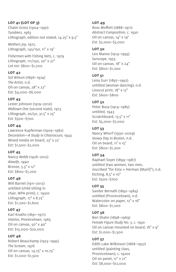#### LOT 41 (LOT OF 3)

Chaim Gross (1904–1991) Tumblers, 1963 Lithograph, edition not stated, 14.25" x 9.5"

Mothers Joy, 1972, Lithograph, 145/150, 11" x 19"

Fishermen with Fishing Nets, c. 1979 Lithograph, 111/250, 20" x 27" Lot est: \$800–\$1,200

#### LOT 42

Sol Wilson (1896–1974) The Artist, n.d. Oil on canvas, 28" x 22" Est: \$4,000–\$6,000

#### LOT 43

Lester Johnson (1919–2010) Midtown One (second state), 1973 Lithograph, 20/50, 31.5" x 25" Est: \$500–\$700

#### LOT 44

Lawrence Kupferman (1909–1982) Decoration—A Study in Chiaroscuro, 1943 Mixed media on board, 23" x 22' Est: \$1,500–\$2,000

#### LOT 45

Nancy Webb (1926–2012) Alewife, 1990 Bronze, 5.5" x 12" Est: \$800–\$1,200

#### **LOT 46**

Will Barnet (1911–2012) untitled (child sitting in chair, WPA print), c. 1930s Lithograph, 17" x 8.75" Est: \$1,200–\$1,600

#### LOT<sub>47</sub>

Karl Knaths (1891–1971) Interior, Provincetown, 1965 Oil on canvas, 50" x 40" Est: \$15,000–\$20,000

#### LOT 48

Robert Beauchamp (1923–1995) The Scream, 1976 Oil on canvas, 14.75" x 10.75" Est: \$1,000–\$1,500

#### LOT<sub>49</sub>

Ross Moffett (1888–1971) Abstract Composition, c. 1930 Oil on canvas, 14" x 19" Est: \$2,000–\$3,000

#### LOT<sub>50</sub>

Leo Manso (1914–1993) Sunscape, 1953 Oil on canvas, 18" x 24" Est: \$800–\$1,200

#### LOT 51

Lena Gurr (1897–1992) untitled (woman dancing), n.d. Linocut print, 18" x 12" Est: \$600–\$800

#### LOT 52

Peter Busa (1914–1985) untitled, 1943 Scratchboard, 13.5" x 11" Est: \$5,000–\$7,000

#### LOT 53

Nancy Whorf (1930–2009) Snowy Day in Boston, n.d. Oil on board, 11" x 15" Est: \$800–\$1,200

#### LOT 54

Raphael Soyer (1899–1987) untitled (two women, two men, inscribed "for Esta + Herman [Maril]"), n.d. Etching, 8.5" x 10" Est: \$500–\$700

#### LOT 55

Sandor Bernath (1892–1984) untitled (Provincetown), n.d. Watercolor on paper, 12" x 16" Est: \$800–\$1,200

#### LOT 56

Ben Shahn (1898–1969) Female Figure Study No. 3, c. 1930 Oil on canvas mounted on board, 16" x 9" Est: \$1,000–\$1,500

#### LOT 57

Edith Lake Wilkinson (1868–1957) untitled (painting class, Provincetown), c. 1920s Oil on panel, 17" x 21" Est: \$8,000–\$12,000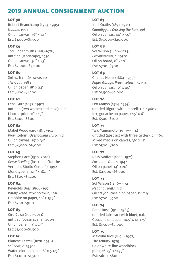#### LOT<sub>58</sub>

Robert Beauchamp (1923–1995) Nadine, 1993 Oil on canvas, 36" x 24" Est: \$1,000–\$1,500

#### LOT 59

Tod Lindenmuth (1885–1976) untitled (landscape), 1930 Oil on canvas, 30" x 23" Est: \$2,000–\$3,000

#### LOT<sub>60</sub>

Selina Treiff (1934–2015) The Goat, 1983 Oil on paper, 18" x 24" Est: \$800–\$1,200

#### LOT 61

Lena Gurr (1897–1992) untitled (two women and child), n.d. Linocut print, 11" x 13" Est: \$400–\$600

#### LOT 62

Mabel Woodward (1877–1945) Provincetown Overlooking Truro, n.d. Oil on canvas, 25" x 30" Est: \$4,000–\$6,000

#### **LOT 63**

Stephen Pace (1918–2010) Geese Feeding (inscribed "for the Vermont Studio Center"), 1992 Monotype, 13.125" x 18.75" Est: \$800–\$1,200

#### LOT 64

Reynolds Beal (1866–1951) Wharf Scene, Provincetown, 1916 Graphite on paper, 10" x 13.5" Est: \$700–\$900

#### LOT 65

Ciro Cozzi (1921–2013) untitled (ocean scene), 2009 Oil on panel, 19" x 23" Est: \$1,000–\$1,500

#### LOT 66 Blanche Lazzell (1878–1956) Sailboat, c. 1950s Watercolor on paper, 8" x 5.125" Est: \$1,000–\$1,500

#### LOT 67

Karl Knaths (1891–1971) Clamdiggers Crossing the Run, 1961 Oil on canvas, 40" x 50" Est: \$15,000–\$20,000

#### LOT 68

Sol Wilson (1896–1974) Provincetown, c. 1950s Oil on board, 8" x 10" Est: \$700–\$900

#### LOT 69

Charles Heinz (1884–1953) Pages Garage, Provincetown, c. 1943 Oil on canvas, 30" x 40" Est: \$1,500–\$2,000

#### LOT 70

Leo Manso (1914–1993) untitled (figure with umbrella), c. 1960s Ink, gouache on paper, 12.5" x 6" Est: \$500–\$700

#### LOT 71

Taro Yamomoto (1919–1994) untitled (abstract with three circles), c. 1960 Mixed media on canvas, 36" x 12" Est: \$500–\$700

#### LOT 72

Ross Moffett (1888–1971) Fox in the Dunes, 1944 Oil on panel, 14" x 20" Est: \$4,000–\$6,000

#### LOT<sub>73</sub>

Sol Wilson (1896–1974) Net and Floats, n.d. Oil crayon, casein on paper, 12" x 9" Est: \$700–\$900

#### LOT 74

Peter Busa (1914–1985) untitled (abstract with blue), n.d. Gouache on paper, 10.5" x 14.375" Est: \$1,500–\$2,000

#### LOT 75

Malcolm Rice (1898–1997) The Armory, 1929 Color white-line woodblock print, 16.25" x 11.75" Est: \$600–\$800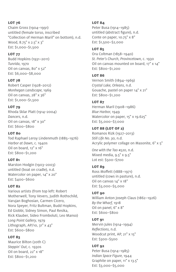#### LOT 76

Chaim Gross (1904–1991) untitled (female torso, inscribed "Collection of Herman Maril" on bottom), n.d. Wood, 8.75" x 2.5" x 3" Est: \$1,000–\$1,500

#### LOT 77

Budd Hopkins (1931–2011) Tunrida, 1970 Oil on canvas, 80" x 52" Est: \$6,000–\$8,000

#### LOT 78

Robert Casper (1928–2012) Monhegan Landscape, 1969 Oil on canvas, 28" x 36" Est: \$1,000–\$1,500

#### LOT 79

Rhoda Sklar Platt (1914–2004) Dancers, n.d. Oil on canvas, 18" x 30" Est: \$600–\$800

#### LOT<sub>80</sub>

Tod Raphael Leroy Lindenmuth (1885–1976) Harbor at Dawn, c. 1940s Oil on board, 12" x 16" Est: \$800–\$1,200

#### LOT 81

Marston Hodgin (1903–2003) untitled (boat on cradle), n.d. Watercolor on paper, 14" x 20" Est: \$400–\$600

#### LOT 82

Various artists (from top left: Robert Motherwell, Tony Vevers, Judith Rothschild, Varujan Boghosian, Carmen Cicero, Nora Speyer, Fritz Bultman, Budd Hopkins, Ed Giobbi, Sidney Simon, Paul Resika, Rick Klauber, Sideo Fromboluti, Leo Manso) Long Point Gallery, 1979 Lithograph,  $AP/10$ ,  $31" \times 43"$ Est: \$600–\$800

#### LOT 83

Maurice Bilton (20th C) Steppin' Out, c. 1930s Oil on board, 22" x 18" Est: \$800–\$1,200

#### LOT<sub>84</sub>

Peter Busa (1914–1985) untitled (abstract figure), n.d. Conte on paper, 10.75" x 8" Est: \$1,500–\$2,000

#### LOT 85

Ora Coltman (1858–1940) St. Peter's Church, Provincetown, c. 1930 Oil on canvas mounted on board, 17" x 14" Est: \$800–\$1,200

#### LOT 86

Vernon Smith (1894–1969) Crystal Lake, Orleans, n.d. Gouache, pastel on paper 14" x 21" Est: \$800–\$1,200

#### LOT 87

Herman Maril (1908–1986) Blue Harbor, 1949 Watercolor on paper, 15" x 19.625" Est: \$5,000–\$7,000

#### LOT 88 (LOT OF 2)

Romanos Rizk (1927–2013) Still Life No. 30, n.d. Acrylic polymer collage on Masonite, 6" x 5"

One with the Tao #520, n.d. Mixed media, 9.5" x 9.5" Lot est: \$500–\$700

#### LOT 89

Ross Moffett (1888–1971) untitled (cows in pasture), n.d. Oil on canvas 14" x 18" Est: \$3,000–\$5,000

#### LOT 90

William Anton Joseph Claus (1862–1926) By the Wharf, 1918 Oil on panel, 6" x 8" Est: \$600–\$800

#### LOT 91

Mervin Jules (1914–1994) Reflections, n.d. Woodcut print, AP, 21" x 15" Est: \$300–\$500

LOT 92 Peter Busa (1914–1985) Indian Space Figure, 1944 Graphite on paper, 11" x 13.5" Est: \$3,000–\$5,000